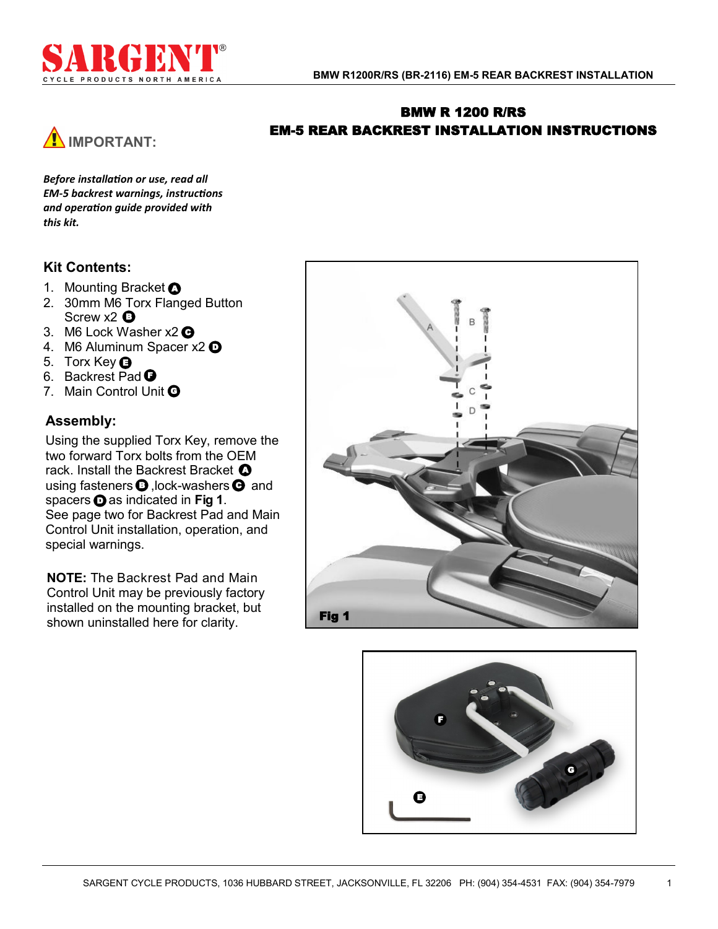

# BMW R 1200 R/RS EM-5 REAR BACKREST INSTALLATION INSTRUCTIONS



*Before installation or use, read all EM-5 backrest warnings, instructions and operation guide provided with this kit.*

# **Kit Contents:**

- 1. Mounting Bracket **O**
- 2. 30mm M6 Torx Flanged Button Screw x2  $\bullet$
- 3. M6 Lock Washer x2 **O**
- 4. M6 Aluminum Spacer x2  $\mathbf \Theta$
- 5. Torx Key  $\bigcirc$
- 6. Backrest Pad **O**
- 7. Main Control Unit O

## **Assembly:**

Using the supplied Torx Key, remove the two forward Torx bolts from the OEM rack. Install the Backrest Bracket  $\bullet$ using fasteners  $\boldsymbol{\Theta}$  , lock-washers  $\boldsymbol{\Theta}$  and spacers  $\odot$  as indicated in Fig 1. See page two for Backrest Pad and Main Control Unit installation, operation, and special warnings.

**NOTE:** The Backrest Pad and Main Control Unit may be previously factory installed on the mounting bracket, but shown uninstalled here for clarity.